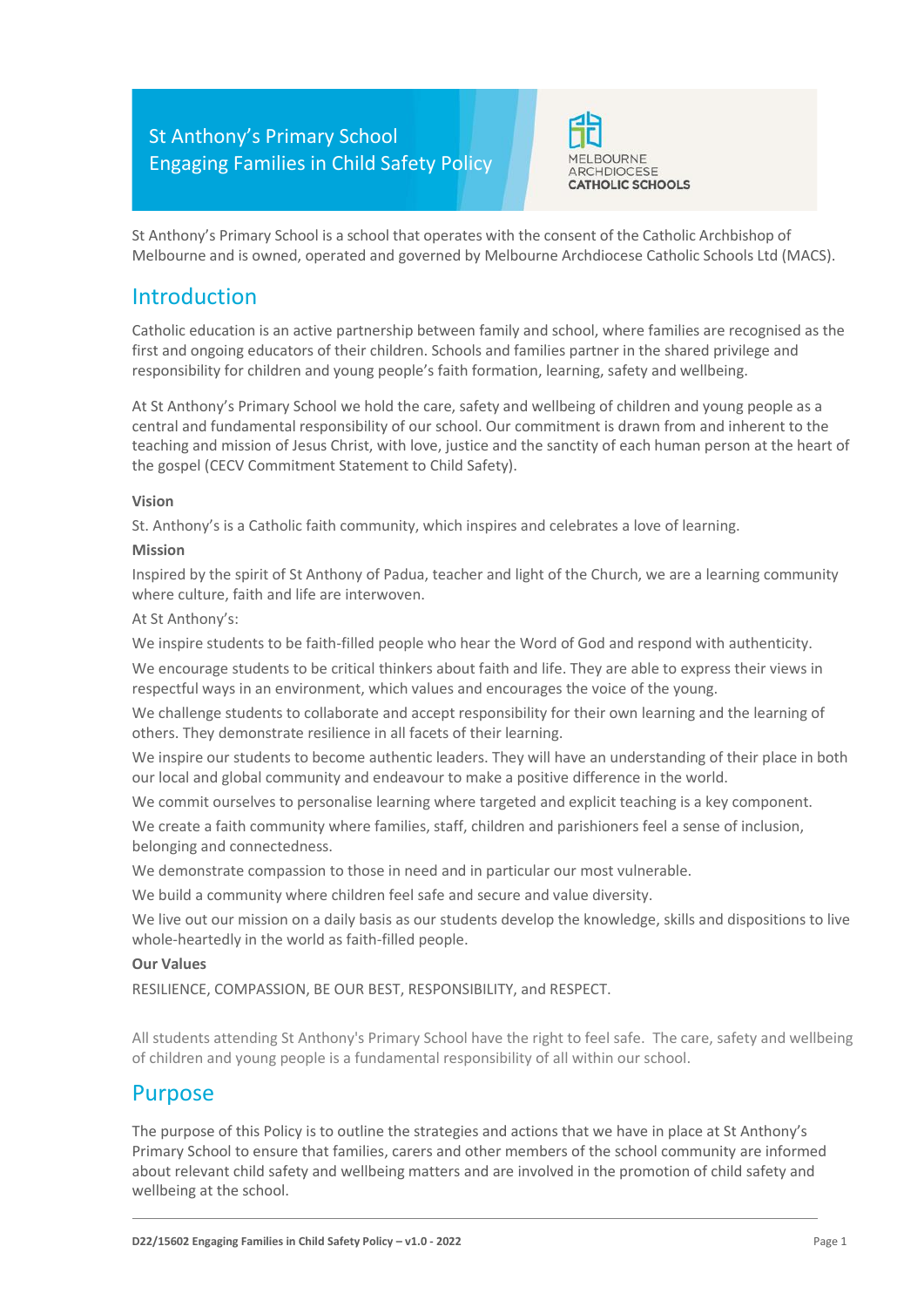

St Anthony's Primary School is a school that operates with the consent of the Catholic Archbishop of Melbourne and is owned, operated and governed by Melbourne Archdiocese Catholic Schools Ltd (MACS).

## Introduction

Catholic education is an active partnership between family and school, where families are recognised as the first and ongoing educators of their children. Schools and families partner in the shared privilege and responsibility for children and young people's faith formation, learning, safety and wellbeing.

At St Anthony's Primary School we hold the care, safety and wellbeing of children and young people as a central and fundamental responsibility of our school. Our commitment is drawn from and inherent to the teaching and mission of Jesus Christ, with love, justice and the sanctity of each human person at the heart of the gospel (CECV Commitment Statement to Child Safety).

#### **Vision**

St. Anthony's is a Catholic faith community, which inspires and celebrates a love of learning.

#### **Mission**

Inspired by the spirit of St Anthony of Padua, teacher and light of the Church, we are a learning community where culture, faith and life are interwoven.

#### At St Anthony's:

We inspire students to be faith-filled people who hear the Word of God and respond with authenticity.

We encourage students to be critical thinkers about faith and life. They are able to express their views in respectful ways in an environment, which values and encourages the voice of the young.

We challenge students to collaborate and accept responsibility for their own learning and the learning of others. They demonstrate resilience in all facets of their learning.

We inspire our students to become authentic leaders. They will have an understanding of their place in both our local and global community and endeavour to make a positive difference in the world.

We commit ourselves to personalise learning where targeted and explicit teaching is a key component.

We create a faith community where families, staff, children and parishioners feel a sense of inclusion, belonging and connectedness.

We demonstrate compassion to those in need and in particular our most vulnerable.

We build a community where children feel safe and secure and value diversity.

We live out our mission on a daily basis as our students develop the knowledge, skills and dispositions to live whole-heartedly in the world as faith-filled people.

### **Our Values**

RESILIENCE, COMPASSION, BE OUR BEST, RESPONSIBILITY, and RESPECT.

All students attending St Anthony's Primary School have the right to feel safe. The care, safety and wellbeing of children and young people is a fundamental responsibility of all within our school.

## Purpose

The purpose of this Policy is to outline the strategies and actions that we have in place at St Anthony's Primary School to ensure that families, carers and other members of the school community are informed about relevant child safety and wellbeing matters and are involved in the promotion of child safety and wellbeing at the school.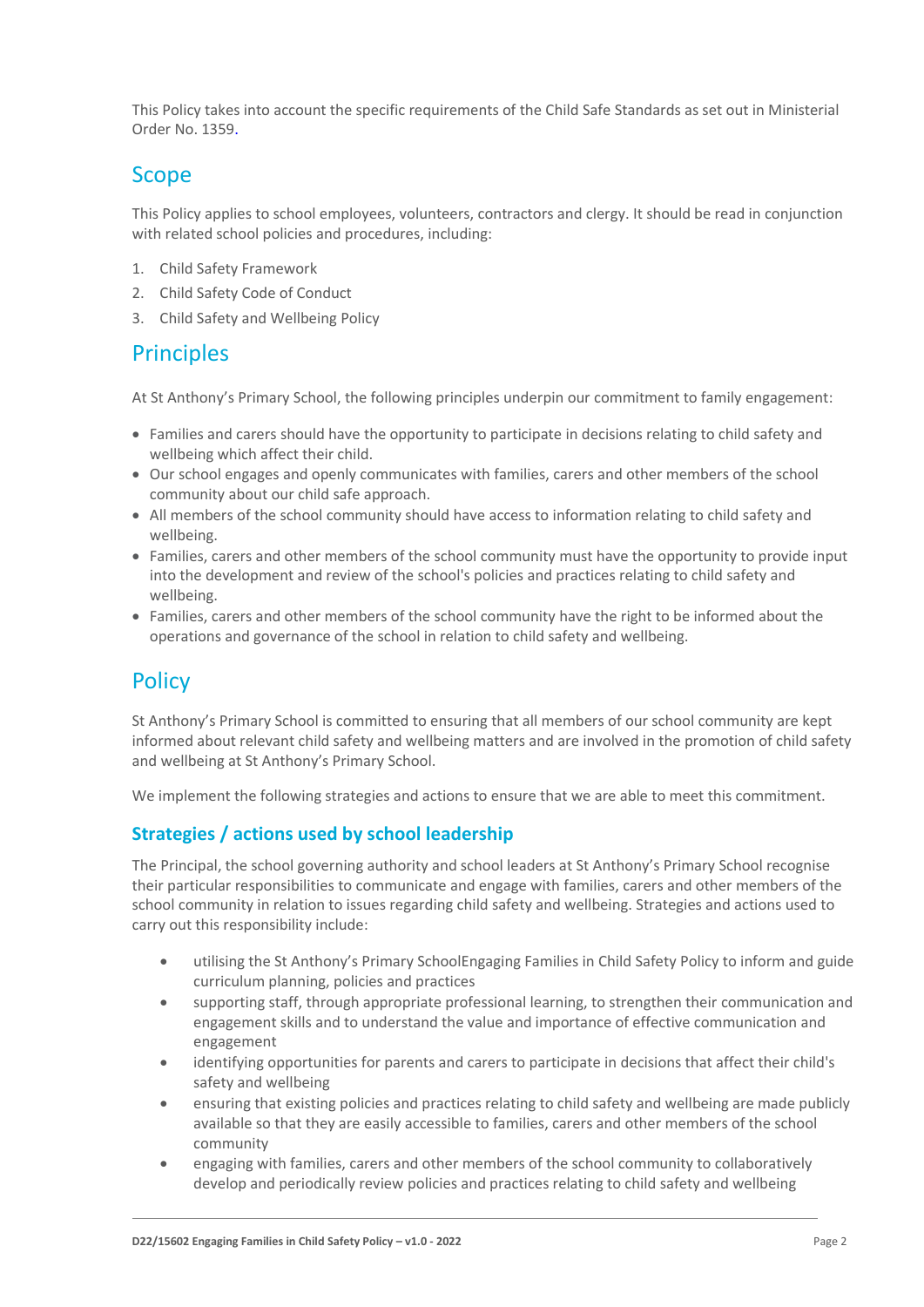This Policy takes into account the specific requirements of the Child Safe Standards as set out in Ministerial Order No. 1359.

# Scope

This Policy applies to school employees, volunteers, contractors and clergy. It should be read in conjunction with related school policies and procedures, including:

- 1. Child Safety Framework
- 2. Child Safety Code of Conduct
- 3. Child Safety and Wellbeing Policy

## **Principles**

At St Anthony's Primary School, the following principles underpin our commitment to family engagement:

- Families and carers should have the opportunity to participate in decisions relating to child safety and wellbeing which affect their child.
- Our school engages and openly communicates with families, carers and other members of the school community about our child safe approach.
- All members of the school community should have access to information relating to child safety and wellbeing.
- Families, carers and other members of the school community must have the opportunity to provide input into the development and review of the school's policies and practices relating to child safety and wellbeing.
- Families, carers and other members of the school community have the right to be informed about the operations and governance of the school in relation to child safety and wellbeing.

# **Policy**

St Anthony's Primary School is committed to ensuring that all members of our school community are kept informed about relevant child safety and wellbeing matters and are involved in the promotion of child safety and wellbeing at St Anthony's Primary School.

We implement the following strategies and actions to ensure that we are able to meet this commitment.

### **Strategies / actions used by school leadership**

The Principal, the school governing authority and school leaders at St Anthony's Primary School recognise their particular responsibilities to communicate and engage with families, carers and other members of the school community in relation to issues regarding child safety and wellbeing. Strategies and actions used to carry out this responsibility include:

- utilising the St Anthony's Primary SchoolEngaging Families in Child Safety Policy to inform and guide curriculum planning, policies and practices
- supporting staff, through appropriate professional learning, to strengthen their communication and engagement skills and to understand the value and importance of effective communication and engagement
- identifying opportunities for parents and carers to participate in decisions that affect their child's safety and wellbeing
- ensuring that existing policies and practices relating to child safety and wellbeing are made publicly available so that they are easily accessible to families, carers and other members of the school community
- engaging with families, carers and other members of the school community to collaboratively develop and periodically review policies and practices relating to child safety and wellbeing